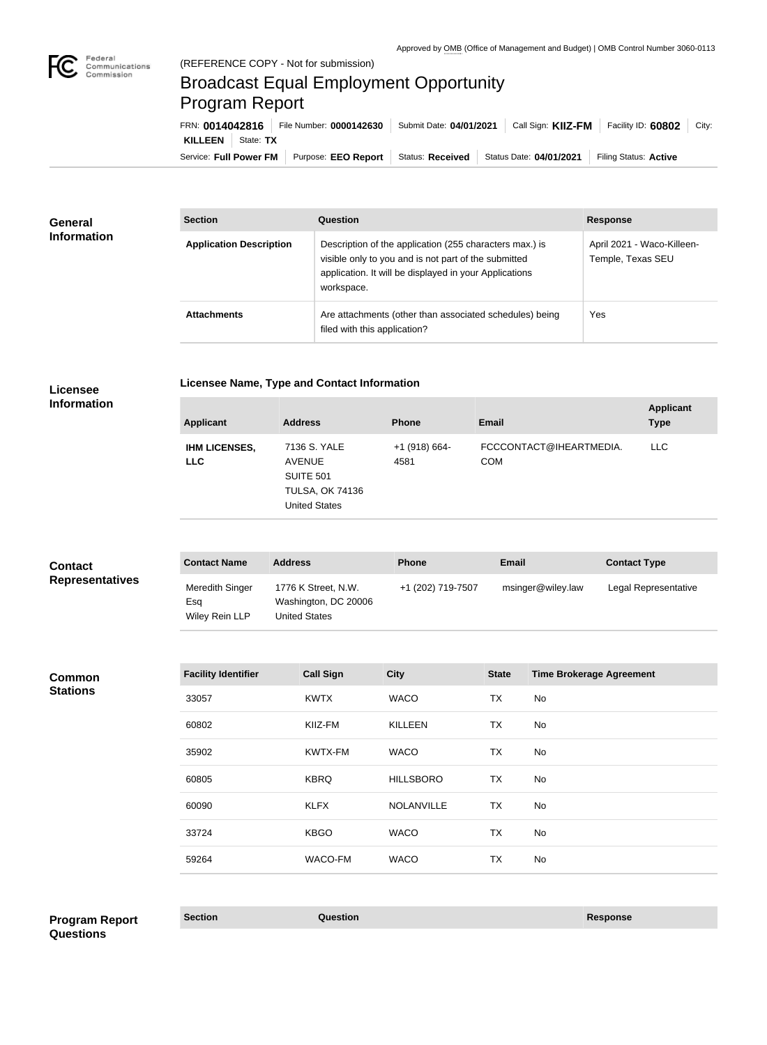

## Broadcast Equal Employment Opportunity Program Report

Service: Full Power FM Purpose: EEO Report | Status: Received | Status Date: 04/01/2021 | Filing Status: Active **KILLEEN** | State: TX FRN: **0014042816** File Number: **0000142630** Submit Date: **04/01/2021** Call Sign: **KIIZ-FM** Facility ID: **60802** City:

| <b>General</b><br><b>Information</b> | <b>Section</b>                 | Question                                                                                                                                                                                | <b>Response</b>                                 |
|--------------------------------------|--------------------------------|-----------------------------------------------------------------------------------------------------------------------------------------------------------------------------------------|-------------------------------------------------|
|                                      | <b>Application Description</b> | Description of the application (255 characters max.) is<br>visible only to you and is not part of the submitted<br>application. It will be displayed in your Applications<br>workspace. | April 2021 - Waco-Killeen-<br>Temple, Texas SEU |
|                                      | <b>Attachments</b>             | Are attachments (other than associated schedules) being<br>filed with this application?                                                                                                 | <b>Yes</b>                                      |

**Licensee Information**

| <b>Applicant</b>                   | <b>Address</b>                                                                                      | <b>Phone</b>            | <b>Email</b>                          | <b>Applicant</b><br><b>Type</b> |
|------------------------------------|-----------------------------------------------------------------------------------------------------|-------------------------|---------------------------------------|---------------------------------|
| <b>IHM LICENSES,</b><br><b>LLC</b> | 7136 S. YALE<br><b>AVENUE</b><br><b>SUITE 501</b><br><b>TULSA, OK 74136</b><br><b>United States</b> | $+1$ (918) 664-<br>4581 | FCCCONTACT@IHEARTMEDIA.<br><b>COM</b> | <b>LLC</b>                      |

| <b>Contact</b>         | <b>Contact Name</b>                      | <b>Address</b>                                               | <b>Phone</b>      | <b>Email</b>      | <b>Contact Type</b>  |
|------------------------|------------------------------------------|--------------------------------------------------------------|-------------------|-------------------|----------------------|
| <b>Representatives</b> | Meredith Singer<br>Esa<br>Wiley Rein LLP | 1776 K Street, N.W.<br>Washington, DC 20006<br>United States | +1 (202) 719-7507 | msinger@wiley.law | Legal Representative |

**Common Stations**

| <b>Facility Identifier</b> | <b>Call Sign</b> | <b>City</b>       | <b>State</b> | <b>Time Brokerage Agreement</b> |
|----------------------------|------------------|-------------------|--------------|---------------------------------|
| 33057                      | <b>KWTX</b>      | <b>WACO</b>       | TX           | No                              |
| 60802                      | KIIZ-FM          | <b>KILLEEN</b>    | <b>TX</b>    | No                              |
| 35902                      | KWTX-FM          | <b>WACO</b>       | <b>TX</b>    | No                              |
| 60805                      | <b>KBRQ</b>      | <b>HILLSBORO</b>  | <b>TX</b>    | No                              |
| 60090                      | <b>KLFX</b>      | <b>NOLANVILLE</b> | TX           | <b>No</b>                       |
| 33724                      | <b>KBGO</b>      | <b>WACO</b>       | <b>TX</b>    | No                              |
| 59264                      | WACO-FM          | <b>WACO</b>       | <b>TX</b>    | No                              |
|                            |                  |                   |              |                                 |

**Section Question Response Program Report Questions**